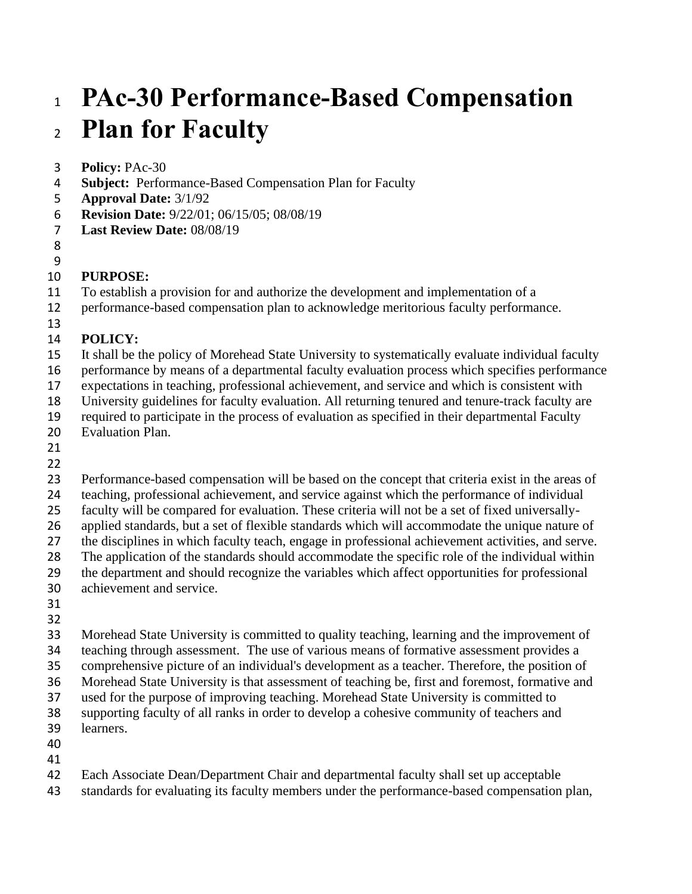# **PAc-30 Performance-Based Compensation Plan for Faculty**

- **Policy:** PAc-30
- **Subject:** Performance-Based Compensation Plan for Faculty
- **Approval Date:** 3/1/92
- **Revision Date:** 9/22/01; 06/15/05; 08/08/19
- **Last Review Date:** 08/08/19
- 

#### **PURPOSE:**

- To establish a provision for and authorize the development and implementation of a
- performance-based compensation plan to acknowledge meritorious faculty performance.
- 

#### **POLICY:**

- It shall be the policy of Morehead State University to systematically evaluate individual faculty
- performance by means of a departmental faculty evaluation process which specifies performance
- expectations in teaching, professional achievement, and service and which is consistent with
- University guidelines for faculty evaluation. All returning tenured and tenure-track faculty are
- required to participate in the process of evaluation as specified in their departmental Faculty
- Evaluation Plan.
- 

- Performance-based compensation will be based on the concept that criteria exist in the areas of
- teaching, professional achievement, and service against which the performance of individual
- faculty will be compared for evaluation. These criteria will not be a set of fixed universally-
- applied standards, but a set of flexible standards which will accommodate the unique nature of
- the disciplines in which faculty teach, engage in professional achievement activities, and serve.
- The application of the standards should accommodate the specific role of the individual within
- the department and should recognize the variables which affect opportunities for professional
- achievement and service.
- 
- 

 Morehead State University is committed to quality teaching, learning and the improvement of teaching through assessment. The use of various means of formative assessment provides a comprehensive picture of an individual's development as a teacher. Therefore, the position of Morehead State University is that assessment of teaching be, first and foremost, formative and used for the purpose of improving teaching. Morehead State University is committed to supporting faculty of all ranks in order to develop a cohesive community of teachers and learners.

- 
- 
- Each Associate Dean/Department Chair and departmental faculty shall set up acceptable
- standards for evaluating its faculty members under the performance-based compensation plan,